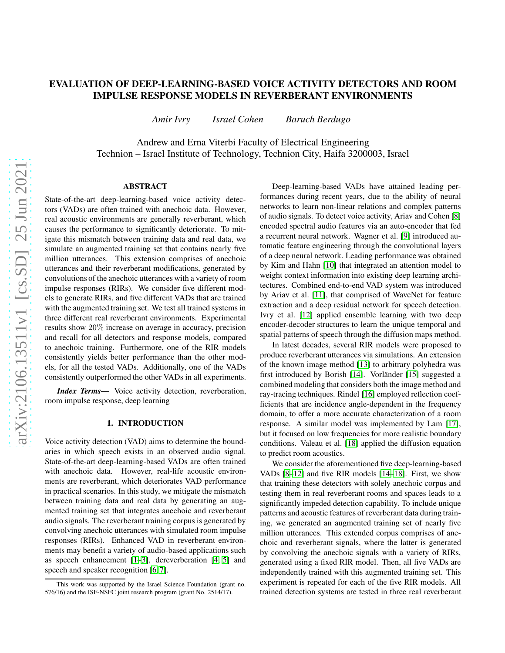# EVALUATION OF DEEP-LEARNING-BASED VOICE ACTIVITY DETECTORS AND ROOM IMPULSE RESPONSE MODELS IN REVERBERANT ENVIRONMENTS

*Amir Ivry Israel Cohen Baruch Berdugo*

Andrew and Erna Viterbi Faculty of Electrical Engineering Technion – Israel Institute of Technology, Technion City, Haifa 3200003, Israel

## ABSTRACT

State-of-the-art deep-learning-based voice activity detectors (VADs) are often trained with anechoic data. However, real acoustic environments are generally reverberant, which causes the performance to significantly deteriorate. To mitigate this mismatch between training data and real data, we simulate an augmented training set that contains nearly five million utterances. This extension comprises of anechoic utterances and their reverberant modifications, generated by convolutions of the anechoic utterances with a variety of room impulse responses (RIRs). We consider five different models to generate RIRs, and five different VADs that are trained with the augmented training set. We test all trained systems in three different real reverberant environments. Experimental results show 20% increase on average in accuracy, precision and recall for all detectors and response models, compared to anechoic training. Furthermore, one of the RIR models consistently yields better performance than the other models, for all the tested VADs. Additionally, one of the VADs consistently outperformed the other VADs in all experiments.

*Index Terms*— Voice activity detection, reverberation, room impulse response, deep learning

#### 1. INTRODUCTION

Voice activity detection (VAD) aims to determine the boundaries in which speech exists in an observed audio signal. State-of-the-art deep-learning-based VADs are often trained with anechoic data. However, real-life acoustic environments are reverberant, which deteriorates VAD performance in practical scenarios. In this study, we mitigate the mismatch between training data and real data by generating an augmented training set that integrates anechoic and reverberant audio signals. The reverberant training corpus is generated by convolving anechoic utterances with simulated room impulse responses (RIRs). Enhanced VAD in reverberant environments may benefit a variety of audio-based applications such as speech enhancement  $[1-3]$  $[1-3]$ , dereverberation  $[4, 5]$  $[4, 5]$  and speech and speaker recognition [\[6,](#page-4-4) [7\]](#page-4-5).

Deep-learning-based VADs have attained leading performances during recent years, due to the ability of neural networks to learn non-linear relations and complex patterns of audio signals. To detect voice activity, Ariav and Cohen [\[8\]](#page-4-6) encoded spectral audio features via an auto-encoder that fed a recurrent neural network. Wagner et al. [\[9\]](#page-4-7) introduced automatic feature engineering through the convolutional layers of a deep neural network. Leading performance was obtained by Kim and Hahn [\[10\]](#page-4-8) that integrated an attention model to weight context information into existing deep learning architectures. Combined end-to-end VAD system was introduced by Ariav et al. [\[11\]](#page-4-9), that comprised of WaveNet for feature extraction and a deep residual network for speech detection. Ivry et al. [\[12\]](#page-4-10) applied ensemble learning with two deep encoder-decoder structures to learn the unique temporal and spatial patterns of speech through the diffusion maps method.

In latest decades, several RIR models were proposed to produce reverberant utterances via simulations. An extension of the known image method [\[13\]](#page-4-11) to arbitrary polyhedra was first introduced by Borish [\[14\]](#page-4-12). Vorländer [\[15\]](#page-4-13) suggested a combined modeling that considers both the image method and ray-tracing techniques. Rindel [\[16\]](#page-4-14) employed reflection coefficients that are incidence angle-dependent in the frequency domain, to offer a more accurate characterization of a room response. A similar model was implemented by Lam [\[17\]](#page-4-15), but it focused on low frequencies for more realistic boundary conditions. Valeau et al. [\[18\]](#page-4-16) applied the diffusion equation to predict room acoustics.

We consider the aforementioned five deep-learning-based VADs [\[8–](#page-4-6)[12\]](#page-4-10) and five RIR models [\[14](#page-4-12)[–18\]](#page-4-16). First, we show that training these detectors with solely anechoic corpus and testing them in real reverberant rooms and spaces leads to a significantly impeded detection capability. To include unique patterns and acoustic features of reverberant data during training, we generated an augmented training set of nearly five million utterances. This extended corpus comprises of anechoic and reverberant signals, where the latter is generated by convolving the anechoic signals with a variety of RIRs, generated using a fixed RIR model. Then, all five VADs are independently trained with this augmented training set. This experiment is repeated for each of the five RIR models. All trained detection systems are tested in three real reverberant

This work was supported by the Israel Science Foundation (grant no. 576/16) and the ISF-NSFC joint research program (grant No. 2514/17).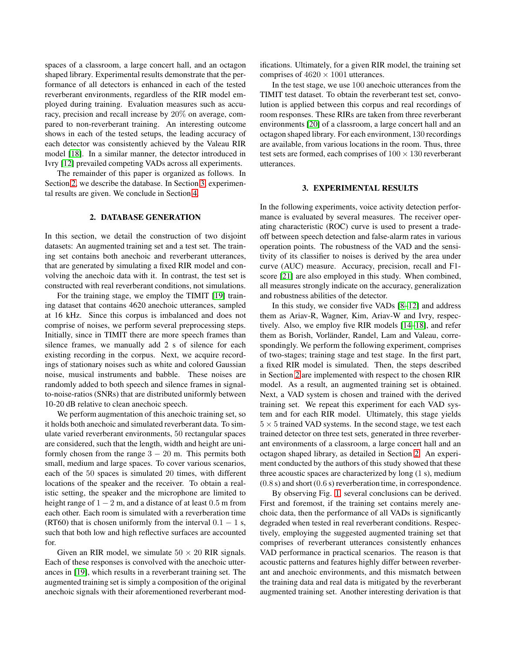spaces of a classroom, a large concert hall, and an octagon shaped library. Experimental results demonstrate that the performance of all detectors is enhanced in each of the tested reverberant environments, regardless of the RIR model employed during training. Evaluation measures such as accuracy, precision and recall increase by 20% on average, compared to non-reverberant training. An interesting outcome shows in each of the tested setups, the leading accuracy of each detector was consistently achieved by the Valeau RIR model [\[18\]](#page-4-16). In a similar manner, the detector introduced in Ivry [\[12\]](#page-4-10) prevailed competing VADs across all experiments.

The remainder of this paper is organized as follows. In Section [2,](#page-1-0) we describe the database. In Section [3,](#page-1-1) experimental results are given. We conclude in Section [4.](#page-2-0)

#### 2. DATABASE GENERATION

<span id="page-1-0"></span>In this section, we detail the construction of two disjoint datasets: An augmented training set and a test set. The training set contains both anechoic and reverberant utterances, that are generated by simulating a fixed RIR model and convolving the anechoic data with it. In contrast, the test set is constructed with real reverberant conditions, not simulations.

For the training stage, we employ the TIMIT [\[19\]](#page-4-17) training dataset that contains 4620 anechoic utterances, sampled at 16 kHz. Since this corpus is imbalanced and does not comprise of noises, we perform several preprocessing steps. Initially, since in TIMIT there are more speech frames than silence frames, we manually add 2 s of silence for each existing recording in the corpus. Next, we acquire recordings of stationary noises such as white and colored Gaussian noise, musical instruments and babble. These noises are randomly added to both speech and silence frames in signalto-noise-ratios (SNRs) that are distributed uniformly between 10-20 dB relative to clean anechoic speech.

We perform augmentation of this anechoic training set, so it holds both anechoic and simulated reverberant data. To simulate varied reverberant environments, 50 rectangular spaces are considered, such that the length, width and height are uniformly chosen from the range  $3 - 20$  m. This permits both small, medium and large spaces. To cover various scenarios, each of the 50 spaces is simulated 20 times, with different locations of the speaker and the receiver. To obtain a realistic setting, the speaker and the microphone are limited to height range of  $1 - 2$  m, and a distance of at least 0.5 m from each other. Each room is simulated with a reverberation time (RT60) that is chosen uniformly from the interval  $0.1 - 1$  s, such that both low and high reflective surfaces are accounted for.

Given an RIR model, we simulate  $50 \times 20$  RIR signals. Each of these responses is convolved with the anechoic utterances in [\[19\]](#page-4-17), which results in a reverberant training set. The augmented training set is simply a composition of the original anechoic signals with their aforementioned reverberant modifications. Ultimately, for a given RIR model, the training set comprises of  $4620 \times 1001$  utterances.

In the test stage, we use 100 anechoic utterances from the TIMIT test dataset. To obtain the reverberant test set, convolution is applied between this corpus and real recordings of room responses. These RIRs are taken from three reverberant environments [\[20\]](#page-4-18) of a classroom, a large concert hall and an octagon shaped library. For each environment, 130 recordings are available, from various locations in the room. Thus, three test sets are formed, each comprises of  $100 \times 130$  reverberant utterances.

#### 3. EXPERIMENTAL RESULTS

<span id="page-1-1"></span>In the following experiments, voice activity detection performance is evaluated by several measures. The receiver operating characteristic (ROC) curve is used to present a tradeoff between speech detection and false-alarm rates in various operation points. The robustness of the VAD and the sensitivity of its classifier to noises is derived by the area under curve (AUC) measure. Accuracy, precision, recall and F1 score [\[21\]](#page-4-19) are also employed in this study. When combined, all measures strongly indicate on the accuracy, generalization and robustness abilities of the detector.

In this study, we consider five VADs [\[8](#page-4-6)[–12\]](#page-4-10) and address them as Ariav-R, Wagner, Kim, Ariav-W and Ivry, respectively. Also, we employ five RIR models [\[14–](#page-4-12)[18\]](#page-4-16), and refer them as Borish, Vorländer, Randel, Lam and Valeau, correspondingly. We perform the following experiment, comprises of two-stages; training stage and test stage. In the first part, a fixed RIR model is simulated. Then, the steps described in Section [2](#page-1-0) are implemented with respect to the chosen RIR model. As a result, an augmented training set is obtained. Next, a VAD system is chosen and trained with the derived training set. We repeat this experiment for each VAD system and for each RIR model. Ultimately, this stage yields  $5 \times 5$  trained VAD systems. In the second stage, we test each trained detector on three test sets, generated in three reverberant environments of a classroom, a large concert hall and an octagon shaped library, as detailed in Section [2.](#page-1-0) An experiment conducted by the authors of this study showed that these three acoustic spaces are characterized by long (1 s), medium (0.8 s) and short (0.6 s) reverberation time, in correspondence.

By observing Fig. [1,](#page-2-1) several conclusions can be derived. First and foremost, if the training set contains merely anechoic data, then the performance of all VADs is significantly degraded when tested in real reverberant conditions. Respectively, employing the suggested augmented training set that comprises of reverberant utterances consistently enhances VAD performance in practical scenarios. The reason is that acoustic patterns and features highly differ between reverberant and anechoic environments, and this mismatch between the training data and real data is mitigated by the reverberant augmented training set. Another interesting derivation is that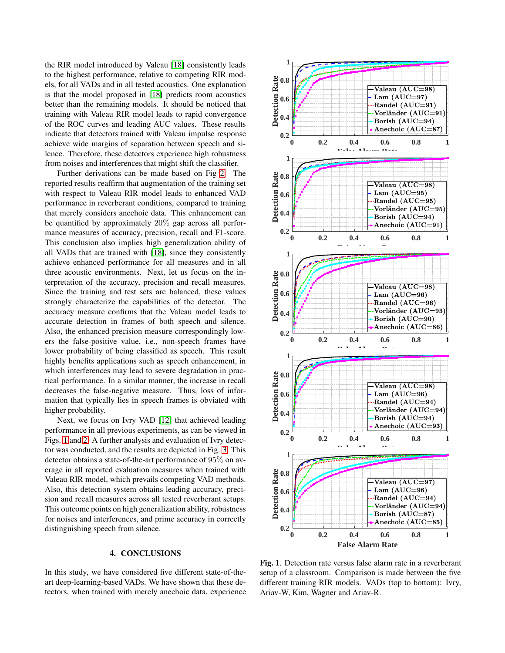the RIR model introduced by Valeau [\[18\]](#page-4-16) consistently leads to the highest performance, relative to competing RIR models, for all VADs and in all tested acoustics. One explanation is that the model proposed in [\[18\]](#page-4-16) predicts room acoustics better than the remaining models. It should be noticed that training with Valeau RIR model leads to rapid convergence of the ROC curves and leading AUC values. These results indicate that detectors trained with Valeau impulse response achieve wide margins of separation between speech and silence. Therefore, these detectors experience high robustness from noises and interferences that might shift the classifier.

Further derivations can be made based on Fig [2.](#page-3-0) The reported results reaffirm that augmentation of the training set with respect to Valeau RIR model leads to enhanced VAD performance in reverberant conditions, compared to training that merely considers anechoic data. This enhancement can be quantified by approximately 20% gap across all performance measures of accuracy, precision, recall and F1-score. This conclusion also implies high generalization ability of all VADs that are trained with [\[18\]](#page-4-16), since they consistently achieve enhanced performance for all measures and in all three acoustic environments. Next, let us focus on the interpretation of the accuracy, precision and recall measures. Since the training and test sets are balanced, these values strongly characterize the capabilities of the detector. The accuracy measure confirms that the Valeau model leads to accurate detection in frames of both speech and silence. Also, the enhanced precision measure correspondingly lowers the false-positive value, i.e., non-speech frames have lower probability of being classified as speech. This result highly benefits applications such as speech enhancement, in which interferences may lead to severe degradation in practical performance. In a similar manner, the increase in recall decreases the false-negative measure. Thus, loss of information that typically lies in speech frames is obviated with higher probability.

Next, we focus on Ivry VAD [\[12\]](#page-4-10) that achieved leading performance in all previous experiments, as can be viewed in Figs. [1](#page-2-1) and [2.](#page-3-0) A further analysis and evaluation of Ivry detector was conducted, and the results are depicted in Fig. [3.](#page-3-1) This detector obtains a state-of-the-art performance of 95% on average in all reported evaluation measures when trained with Valeau RIR model, which prevails competing VAD methods. Also, this detection system obtains leading accuracy, precision and recall measures across all tested reverberant setups. This outcome points on high generalization ability, robustness for noises and interferences, and prime accuracy in correctly distinguishing speech from silence.

### 4. CONCLUSIONS

<span id="page-2-0"></span>In this study, we have considered five different state-of-theart deep-learning-based VADs. We have shown that these detectors, when trained with merely anechoic data, experience



<span id="page-2-1"></span>Fig. 1. Detection rate versus false alarm rate in a reverberant setup of a classroom. Comparison is made between the five different training RIR models. VADs (top to bottom): Ivry, Ariav-W, Kim, Wagner and Ariav-R.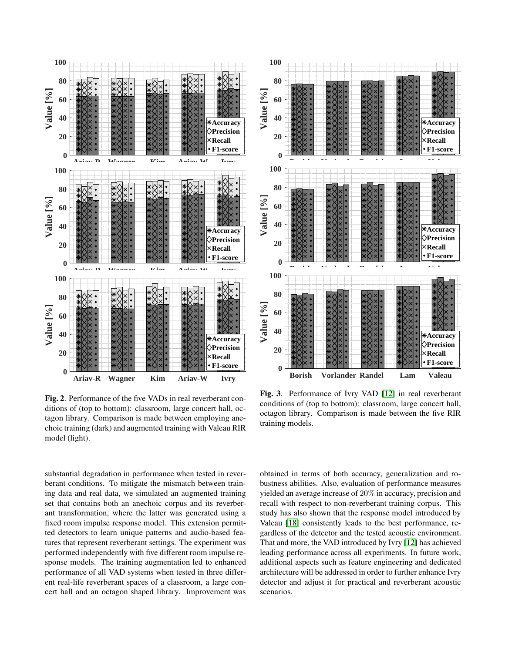

<span id="page-3-0"></span>Fig. 2. Performance of the five VADs in real reverberant conditions of (top to bottom): classroom, large concert hall, octagon library. Comparison is made between employing anechoic training (dark) and augmented training with Valeau RIR model (light).

substantial degradation in performance when tested in reverberant conditions. To mitigate the mismatch between training data and real data, we simulated an augmented training set that contains both an anechoic corpus and its reverberant transformation, where the latter was generated using a fixed room impulse response model. This extension permitted detectors to learn unique patterns and audio-based features that represent reverberant settings. The experiment was performed independently with five different room impulse response models. The training augmentation led to enhanced performance of all VAD systems when tested in three different real-life reverberant spaces of a classroom, a large concert hall and an octagon shaped library. Improvement was



<span id="page-3-1"></span>Fig. 3. Performance of Ivry VAD [\[12\]](#page-4-10) in real reverberant conditions of (top to bottom): classroom, large concert hall, octagon library. Comparison is made between the five RIR training models.

obtained in terms of both accuracy, generalization and robustness abilities. Also, evaluation of performance measures yielded an average increase of 20% in accuracy, precision and recall with respect to non-reverberant training corpus. This study has also shown that the response model introduced by Valeau [\[18\]](#page-4-16) consistently leads to the best performance, regardless of the detector and the tested acoustic environment. That and more, the VAD introduced by Ivry [\[12\]](#page-4-10) has achieved leading performance across all experiments. In future work, additional aspects such as feature engineering and dedicated architecture will be addressed in order to further enhance Ivry detector and adjust it for practical and reverberant acoustic scenarios.